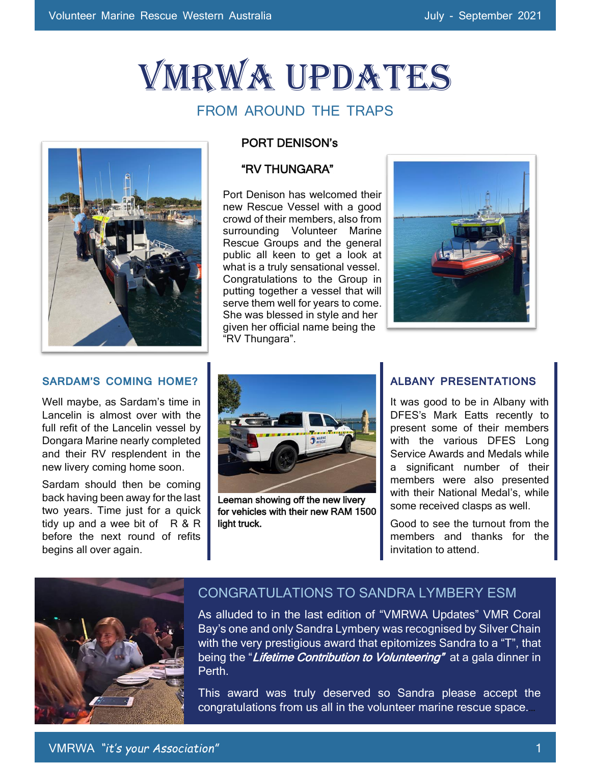# VMRWA Updates

# FROM AROUND THE TRAPS



#### PORT DENISON's

#### "RV THUNGARA"

Port Denison has welcomed their new Rescue Vessel with a good crowd of their members, also from surrounding Volunteer Marine Rescue Groups and the general public all keen to get a look at what is a truly sensational vessel. Congratulations to the Group in putting together a vessel that will serve them well for years to come. She was blessed in style and her given her official name being the "RV Thungara".



#### **SARDAM'S COMING HOME?**

Well maybe, as Sardam's time in Lancelin is almost over with the full refit of the Lancelin vessel by Dongara Marine nearly completed and their RV resplendent in the new livery coming home soon.

Sardam should then be coming back having been away for the last two years. Time just for a quick tidy up and a wee bit of  $R & R$ before the next round of refits begins all over again.



Leeman showing off the new livery for vehicles with their new RAM 1500 light truck.

#### **ALBANY PRESENTATIONS**

It was good to be in Albany with DFES's Mark Eatts recently to present some of their members with the various DFES Long Service Awards and Medals while a significant number of their members were also presented with their National Medal's, while some received clasps as well.

Good to see the turnout from the members and thanks for the invitation to attend.



### CONGRATULATIONS TO SANDRA LYMBERY ESM

As alluded to in the last edition of "VMRWA Updates" VMR Coral Bay's one and only Sandra Lymbery was recognised by Silver Chain with the very prestigious award that epitomizes Sandra to a "T", that being the "Lifetime Contribution to Volunteering" at a gala dinner in Perth.

This award was truly deserved so Sandra please accept the congratulations from us all in the volunteer marine rescue space.…

 $\overline{\phantom{a}}$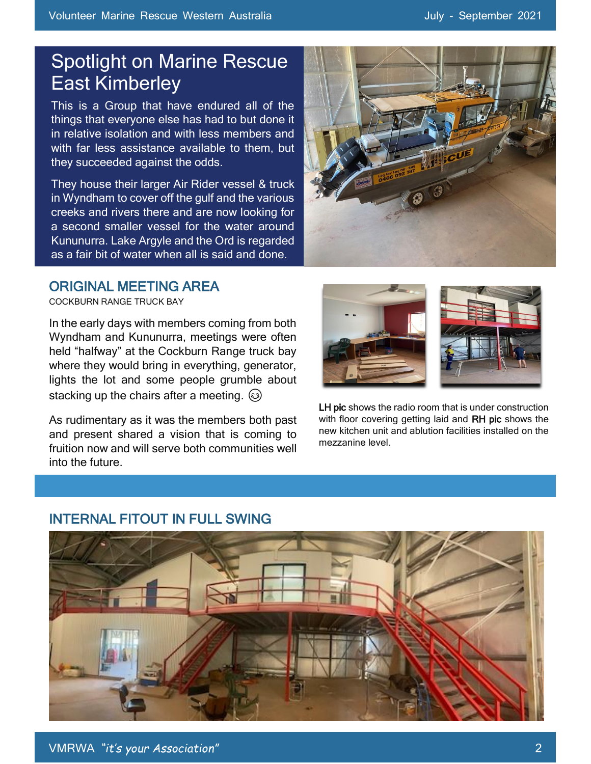# Spotlight on Marine Rescue East Kimberley

This is a Group that have endured all of the things that everyone else has had to but done it in relative isolation and with less members and with far less assistance available to them, but they succeeded against the odds.

They house their larger Air Rider vessel & truck in Wyndham to cover off the gulf and the various creeks and rivers there and are now looking for a second smaller vessel for the water around Kununurra. Lake Argyle and the Ord is regarded as a fair bit of water when all is said and done.



#### l ORIGINAL MEETING AREA

COCKBURN RANGE TRUCK BAY

In the early days with members coming from both Wyndham and Kununurra, meetings were often held "halfway" at the Cockburn Range truck bay where they would bring in everything, generator, lights the lot and some people grumble about stacking up the chairs after a meeting.  $\odot$ 

As rudimentary as it was the members both past and present shared a vision that is coming to fruition now and will serve both communities well into the future.



LH pic shows the radio room that is under construction with floor covering getting laid and RH pic shows the new kitchen unit and ablution facilities installed on the mezzanine level.



# INTERNAL FITOUT IN FULL SWING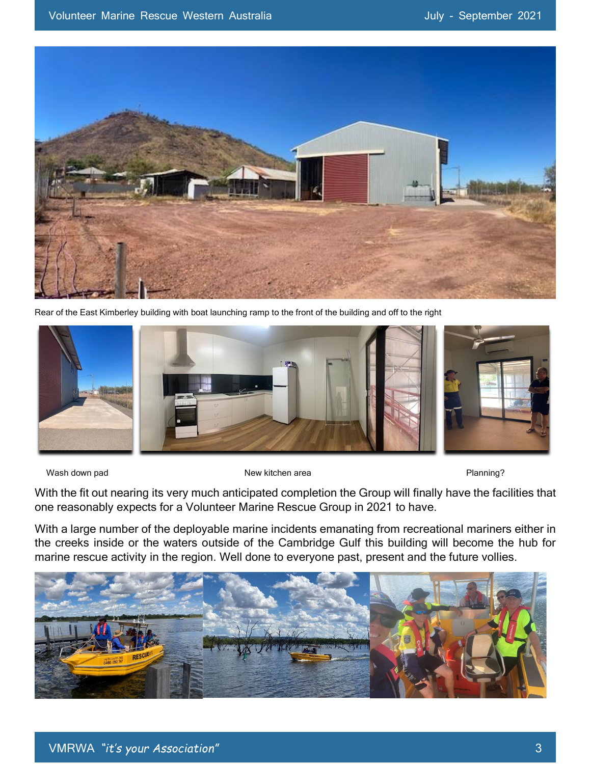

Rear of the East Kimberley building with boat launching ramp to the front of the building and off to the right



Wash down pad **New kitchen area New kitchen area Planning?** 

With the fit out nearing its very much anticipated completion the Group will finally have the facilities that one reasonably expects for a Volunteer Marine Rescue Group in 2021 to have.

With a large number of the deployable marine incidents emanating from recreational mariners either in the creeks inside or the waters outside of the Cambridge Gulf this building will become the hub for marine rescue activity in the region. Well done to everyone past, present and the future vollies.